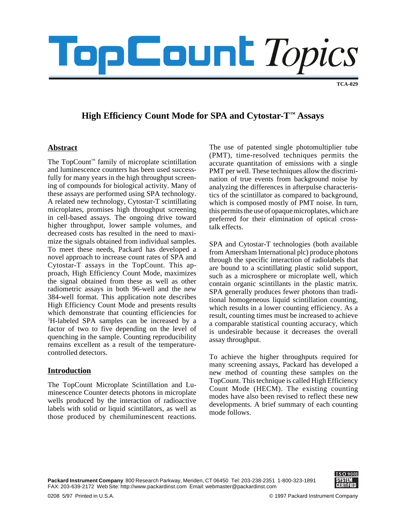# **PEOUnt** Topics

**TCA-029**

# **High Efficiency Count Mode for SPA and Cytostar-T™ Assays**

# **Abstract**

The TopCount™ family of microplate scintillation and luminescence counters has been used successfully for many years in the high throughput screening of compounds for biological activity. Many of these assays are performed using SPA technology. A related new technology, Cytostar-T scintillating microplates, promises high throughput screening in cell-based assays. The ongoing drive toward higher throughput, lower sample volumes, and decreased costs has resulted in the need to maximize the signals obtained from individual samples. To meet these needs, Packard has developed a novel approach to increase count rates of SPA and Cytostar-T assays in the TopCount. This approach, High Efficiency Count Mode, maximizes the signal obtained from these as well as other radiometric assays in both 96-well and the new 384-well format. This application note describes High Efficiency Count Mode and presents results which demonstrate that counting efficiencies for 3 H-labeled SPA samples can be increased by a factor of two to five depending on the level of quenching in the sample. Counting reproducibility remains excellent as a result of the temperaturecontrolled detectors.

# **Introduction**

The TopCount Microplate Scintillation and Luminescence Counter detects photons in microplate wells produced by the interaction of radioactive labels with solid or liquid scintillators, as well as those produced by chemiluminescent reactions.

The use of patented single photomultiplier tube (PMT), time-resolved techniques permits the accurate quantitation of emissions with a single PMT per well. These techniques allow the discrimination of true events from background noise by analyzing the differences in afterpulse characteristics of the scintillator as compared to background, which is composed mostly of PMT noise. In turn, this permits the use of opaque microplates, which are preferred for their elimination of optical crosstalk effects.

SPA and Cytostar-T technologies (both available from Amersham International plc) produce photons through the specific interaction of radiolabels that are bound to a scintillating plastic solid support, such as a microsphere or microplate well, which contain organic scintillants in the plastic matrix. SPA generally produces fewer photons than traditional homogeneous liquid scintillation counting, which results in a lower counting efficiency. As a result, counting times must be increased to achieve a comparable statistical counting accuracy, which is undesirable because it decreases the overall assay throughput.

To achieve the higher throughputs required for many screening assays, Packard has developed a new method of counting these samples on the TopCount. This technique is called High Efficiency Count Mode (HECM). The existing counting modes have also been revised to reflect these new developments. A brief summary of each counting mode follows.

**Packard Instrument Company** 800 Research Parkway, Meriden, CT 06450 Tel: 203-238-2351 1-800-323-1891 FAX: 203-639-2172 Web Site: http://www.packardinst.com Email: webmaster@packardinst.com

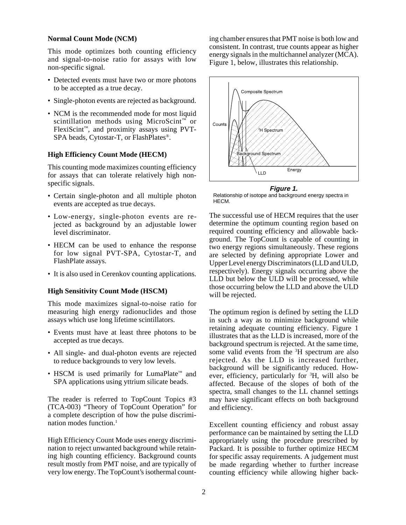#### **Normal Count Mode (NCM)**

This mode optimizes both counting efficiency and signal-to-noise ratio for assays with low non-specific signal.

- Detected events must have two or more photons to be accepted as a true decay.
- Single-photon events are rejected as background.
- NCM is the recommended mode for most liquid scintillation methods using MicroScint $\mathbb{R}$  or FlexiScint™, and proximity assays using PVT-SPA beads, Cytostar-T, or FlashPlates®.

#### **High Efficiency Count Mode (HECM)**

This counting mode maximizes counting efficiency for assays that can tolerate relatively high nonspecific signals.

- Certain single-photon and all multiple photon events are accepted as true decays.
- Low-energy, single-photon events are rejected as background by an adjustable lower level discriminator.
- HECM can be used to enhance the response for low signal PVT-SPA, Cytostar-T, and FlashPlate assays.
- It is also used in Cerenkov counting applications.

#### **High Sensitivity Count Mode (HSCM)**

This mode maximizes signal-to-noise ratio for measuring high energy radionuclides and those assays which use long lifetime scintillators.

- Events must have at least three photons to be accepted as true decays.
- All single- and dual-photon events are rejected to reduce backgrounds to very low levels.
- HSCM is used primarily for LumaPlate™ and SPA applications using yttrium silicate beads.

The reader is referred to TopCount Topics #3 (TCA-003) "Theory of TopCount Operation" for a complete description of how the pulse discrimination modes function.<sup>1</sup>

High Efficiency Count Mode uses energy discrimination to reject unwanted background while retaining high counting efficiency. Background counts result mostly from PMT noise, and are typically of very low energy. The TopCount's isothermal count-

ing chamber ensures that PMT noise is both low and consistent. In contrast, true counts appear as higher energy signals in the multichannel analyzer (MCA). Figure 1, below, illustrates this relationship.



**Figure 1.** Relationship of isotope and background energy spectra in HECM.

The successful use of HECM requires that the user determine the optimum counting region based on required counting efficiency and allowable background. The TopCount is capable of counting in two energy regions simultaneously. These regions are selected by defining appropriate Lower and Upper Level energy Discriminators (LLD and ULD, respectively). Energy signals occurring above the LLD but below the ULD will be processed, while those occurring below the LLD and above the ULD will be rejected.

The optimum region is defined by setting the LLD in such a way as to minimize background while retaining adequate counting efficiency. Figure 1 illustrates that as the LLD is increased, more of the background spectrum is rejected. At the same time, some valid events from the <sup>3</sup>H spectrum are also rejected. As the LLD is increased further, background will be significantly reduced. However, efficiency, particularly for <sup>3</sup>H, will also be affected. Because of the slopes of both of the spectra, small changes to the LL channel settings may have significant effects on both background and efficiency.

Excellent counting efficiency and robust assay performance can be maintained by setting the LLD appropriately using the procedure prescribed by Packard. It is possible to further optimize HECM for specific assay requirements. A judgement must be made regarding whether to further increase counting efficiency while allowing higher back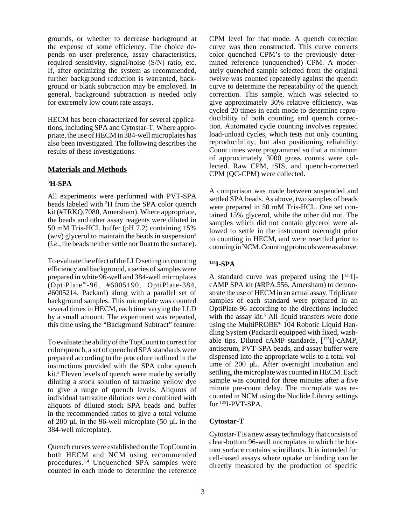grounds, or whether to decrease background at the expense of some efficiency. The choice depends on user preference, assay characteristics, required sensitivity, signal/noise (S/N) ratio, etc. If, after optimizing the system as recommended, further background reduction is warranted, background or blank subtraction may be employed. In general, background subtraction is needed only for extremely low count rate assays.

HECM has been characterized for several applications, including SPA and Cytostar-T. Where appropriate, the use of HECM in 384-well microplates has also been investigated. The following describes the results of these investigations.

#### **Materials and Methods**

# **3 H-SPA**

All experiments were performed with PVT-SPA beads labeled with <sup>3</sup>H from the SPA color quench kit (#TRKQ.7080, Amersham). Where appropriate, the beads and other assay reagents were diluted in 50 mM Tris-HCL buffer (pH 7.2) containing 15% (w/v) glycerol to maintain the beads in suspension<sup>2</sup> (*i.e.*, the beads neither settle nor float to the surface).

To evaluate the effect of the LLD setting on counting efficiency and background, a series of samples were prepared in white 96-well and 384-well microplates (OptiPlate™-96, #6005190, OptiPlate-384, #6005214, Packard) along with a parallel set of background samples. This microplate was counted several times in HECM, each time varying the LLD by a small amount. The experiment was repeated, this time using the "Background Subtract" feature.

To evaluate the ability of the TopCount to correct for color quench, a set of quenched SPA standards were prepared according to the procedure outlined in the instructions provided with the SPA color quench kit.3 Eleven levels of quench were made by serially diluting a stock solution of tartrazine yellow dye to give a range of quench levels. Aliquots of individual tartrazine dilutions were combined with aliquots of diluted stock SPA beads and buffer in the recommended ratios to give a total volume of 200 µL in the 96-well microplate (50 µL in the 384-well microplate).

Quench curves were established on the TopCount in both HECM and NCM using recommended procedures.3,4 Unquenched SPA samples were counted in each mode to determine the reference CPM level for that mode. A quench correction curve was then constructed. This curve corrects color quenched CPM's to the previously determined reference (unquenched) CPM. A moderately quenched sample selected from the original twelve was counted repeatedly against the quench curve to determine the repeatability of the quench correction. This sample, which was selected to give approximately 30% relative efficiency, was cycled 20 times in each mode to determine reproducibility of both counting and quench correction. Automated cycle counting involves repeated load-unload cycles, which tests not only counting reproducibility, but also positioning reliability. Count times were programmed so that a minimum of approximately 3000 gross counts were collected. Raw CPM, tSIS, and quench-corrected CPM (QC-CPM) were collected.

A comparison was made between suspended and settled SPA beads. As above, two samples of beads were prepared in 50 mM Tris-HCL. One set contained 15% glycerol, while the other did not. The samples which did not contain glycerol were allowed to settle in the instrument overnight prior to counting in HECM, and were resettled prior to counting in NCM. Counting protocols were as above.

#### **125I-SPA**

A standard curve was prepared using the [125I] cAMP SPA kit (#RPA.556, Amersham) to demonstrate the use of HECM in an actual assay. Triplicate samples of each standard were prepared in an OptiPlate-96 according to the directions included with the assay kit.<sup>5</sup> All liquid transfers were done using the MultiPROBE® 104 Robotic Liquid Handling System (Packard) equipped with fixed, washable tips. Diluted cAMP standards, [125I]-cAMP, antiserum, PVT-SPA beads, and assay buffer were dispensed into the appropriate wells to a total volume of 200 µL. After overnight incubation and settling, the microplate was counted in HECM. Each sample was counted for three minutes after a five minute pre-count delay. The microplate was recounted in NCM using the Nuclide Library settings for 125I-PVT-SPA.

# **Cytostar-T**

Cytostar-T is a new assay technology that consists of clear-bottom 96-well microplates in which the bottom surface contains scintillants. It is intended for cell-based assays where uptake or binding can be directly measured by the production of specific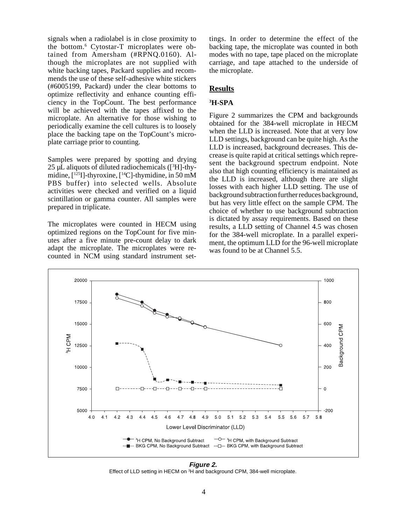signals when a radiolabel is in close proximity to the bottom.6 Cytostar-T microplates were obtained from Amersham (#RPNQ.0160). Although the microplates are not supplied with white backing tapes, Packard supplies and recommends the use of these self-adhesive white stickers (#6005199, Packard) under the clear bottoms to optimize reflectivity and enhance counting efficiency in the TopCount. The best performance will be achieved with the tapes affixed to the microplate. An alternative for those wishing to periodically examine the cell cultures is to loosely place the backing tape on the TopCount's microplate carriage prior to counting.

Samples were prepared by spotting and drying  $25 \mu$ L aliquots of diluted radiochemicals ( $[3H]$ -thymidine,  $\lceil 1^{25}I \rceil$ -thyroxine,  $\lceil 1^{4}C \rceil$ -thymidine, in 50 mM PBS buffer) into selected wells. Absolute activities were checked and verified on a liquid scintillation or gamma counter. All samples were prepared in triplicate.

The microplates were counted in HECM using optimized regions on the TopCount for five minutes after a five minute pre-count delay to dark adapt the microplate. The microplates were recounted in NCM using standard instrument set-

tings. In order to determine the effect of the backing tape, the microplate was counted in both modes with no tape, tape placed on the microplate carriage, and tape attached to the underside of the microplate.

#### **Results**

#### **3 H-SPA**

Figure 2 summarizes the CPM and backgrounds obtained for the 384-well microplate in HECM when the LLD is increased. Note that at very low LLD settings, background can be quite high. As the LLD is increased, background decreases. This decrease is quite rapid at critical settings which represent the background spectrum endpoint. Note also that high counting efficiency is maintained as the LLD is increased, although there are slight losses with each higher LLD setting. The use of background subtraction further reduces background, but has very little effect on the sample CPM. The choice of whether to use background subtraction is dictated by assay requirements. Based on these results, a LLD setting of Channel 4.5 was chosen for the 384-well microplate. In a parallel experiment, the optimum LLD for the 96-well microplate was found to be at Channel 5.5.



**Figure 2.** Effect of LLD setting in HECM on <sup>3</sup>H and background CPM, 384-well microplate.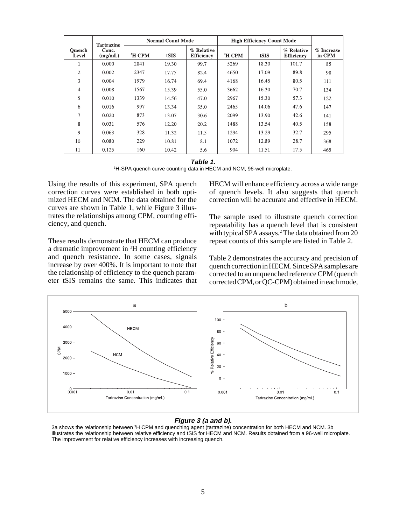|                        | <b>Tartrazine</b> |                    | <b>Normal Count Mode</b> |                                 | <b>High Efficiency Count Mode</b> |       |                                 |                      |
|------------------------|-------------------|--------------------|--------------------------|---------------------------------|-----------------------------------|-------|---------------------------------|----------------------|
| <b>Ouench</b><br>Level | Conc.<br>(mg/mL)  | <sup>3</sup> H CPM | tSIS                     | % Relative<br><b>Efficiency</b> | <sup>3</sup> H CPM                | tSIS  | % Relative<br><b>Efficiency</b> | % Increase<br>in CPM |
| Τ.                     | 0.000             | 2841               | 19.30                    | 99.7                            | 5269                              | 18.30 | 101.7                           | 85                   |
| $\overline{2}$         | 0.002             | 2347               | 17.75                    | 82.4                            | 4650                              | 17.09 | 89.8                            | 98                   |
| 3                      | 0.004             | 1979               | 16.74                    | 69.4                            | 4168                              | 16.45 | 80.5                            | 111                  |
| $\overline{4}$         | 0.008             | 1567               | 15.39                    | 55.0                            | 3662                              | 16.30 | 70.7                            | 134                  |
| 5                      | 0.010             | 1339               | 14.56                    | 47.0                            | 2967                              | 15.30 | 57.3                            | 122                  |
| 6                      | 0.016             | 997                | 13.34                    | 35.0                            | 2465                              | 14.06 | 47.6                            | 147                  |
| 7                      | 0.020             | 873                | 13.07                    | 30.6                            | 2099                              | 13.90 | 42.6                            | 141                  |
| 8                      | 0.031             | 576                | 12.20                    | 20.2                            | 1488                              | 13.54 | 40.5                            | 158                  |
| 9                      | 0.063             | 328                | 11.32                    | 11.5                            | 1294                              | 13.29 | 32.7                            | 295                  |
| 10                     | 0.080             | 229                | 10.81                    | 8.1                             | 1072                              | 12.89 | 28.7                            | 368                  |
| 11                     | 0.125             | 160                | 10.42                    | 5.6                             | 904                               | 11.51 | 17.5                            | 465                  |

**Table 1.**

3 H-SPA quench curve counting data in HECM and NCM, 96-well microplate.

Using the results of this experiment, SPA quench correction curves were established in both optimized HECM and NCM. The data obtained for the curves are shown in Table 1, while Figure 3 illustrates the relationships among CPM, counting efficiency, and quench.

These results demonstrate that HECM can produce a dramatic improvement in  ${}^{3}$ H counting efficiency and quench resistance. In some cases, signals increase by over 400%. It is important to note that the relationship of efficiency to the quench parameter tSIS remains the same. This indicates that

HECM will enhance efficiency across a wide range of quench levels. It also suggests that quench correction will be accurate and effective in HECM.

The sample used to illustrate quench correction repeatability has a quench level that is consistent with typical SPA assays.<sup>2</sup> The data obtained from 20 repeat counts of this sample are listed in Table 2.

Table 2 demonstrates the accuracy and precision of quench correction in HECM. Since SPA samples are corrected to an unquenched reference CPM (quench corrected CPM, or QC-CPM) obtained in each mode,



#### **Figure 3 (a and b).**

3a shows the relationship between <sup>3</sup>H CPM and quenching agent (tartrazine) concentration for both HECM and NCM. 3b illustrates the relationship between relative efficiency and tSIS for HECM and NCM. Results obtained from a 96-well microplate. The improvement for relative efficiency increases with increasing quench.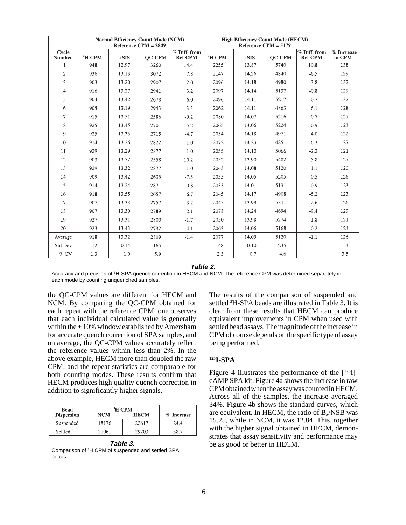|                          | <b>Normal Efficiency Count Mode (NCM)</b><br>Reference $CPM = 2849$ |       |               |                                | <b>High Efficiency Count Mode (HECM)</b><br>Reference $CPM = 5179$ |       |               |                                |                      |
|--------------------------|---------------------------------------------------------------------|-------|---------------|--------------------------------|--------------------------------------------------------------------|-------|---------------|--------------------------------|----------------------|
| Cycle<br><b>Number</b>   | <sup>3</sup> H CPM                                                  | tSIS  | <b>OC-CPM</b> | % Diff. from<br><b>Ref CPM</b> | $\mathrm{^{3}H}$ CPM                                               | tSIS  | <b>OC-CPM</b> | % Diff. from<br><b>Ref CPM</b> | % Increase<br>in CPM |
| 1                        | 948                                                                 | 12.97 | 3260          | 14.4                           | 2255                                                               | 13.87 | 5740          | 10.8                           | 138                  |
| $\overline{c}$           | 936                                                                 | 13.13 | 3072          | 7.8                            | 2147                                                               | 14.26 | 4840          | $-6.5$                         | 129                  |
| 3                        | 903                                                                 | 13.20 | 2907          | 2.0                            | 2096                                                               | 14.18 | 4980          | $-3.8$                         | 132                  |
| $\overline{\mathcal{A}}$ | 916                                                                 | 13.27 | 2941          | 3.2                            | 2097                                                               | 14.14 | 5137          | $-0.8$                         | 129                  |
| 5                        | 904                                                                 | 13.42 | 2678          | $-6.0$                         | 2096                                                               | 14.11 | 5217          | 0.7                            | 132                  |
| 6                        | 905                                                                 | 13.19 | 2943          | 3.3                            | 2062                                                               | 14.11 | 4863          | $-6.1$                         | 128                  |
| $\overline{7}$           | 915                                                                 | 13.51 | 2586          | $-9.2$                         | 2080                                                               | 14.07 | 5216          | 0.7                            | 127                  |
| 8                        | 925                                                                 | 13.45 | 2701          | $-5.2$                         | 2065                                                               | 14.06 | 5224          | 0.9                            | 123                  |
| 9                        | 925                                                                 | 13.35 | 2715          | $-4.7$                         | 2054                                                               | 14.18 | 4971          | $-4.0$                         | 122                  |
| 10                       | 914                                                                 | 13.26 | 2822          | $-1.0$                         | 2072                                                               | 14.23 | 4851          | $-6.3$                         | 127                  |
| 11                       | 929                                                                 | 13.29 | 2877          | 1.0                            | 2055                                                               | 14.10 | 5066          | $-2.2$                         | 121                  |
| 12                       | 903                                                                 | 13.52 | 2558          | $-10.2$                        | 2052                                                               | 13.90 | 5482          | 5.8                            | 127                  |
| 13                       | 929                                                                 | 13.32 | 2877          | 1.0                            | 2043                                                               | 14.08 | 5120          | $-1.1$                         | 120                  |
| 14                       | 909                                                                 | 13.42 | 2635          | $-7.5$                         | 2055                                                               | 14.05 | 5205          | 0.5                            | 126                  |
| 15                       | 914                                                                 | 13.24 | 2871          | 0.8                            | 2033                                                               | 14.01 | 5131          | $-0.9$                         | 123                  |
| 16                       | 918                                                                 | 13.55 | 2657          | $-6.7$                         | 2045                                                               | 14.17 | 4908          | $-5.2$                         | 123                  |
| 17                       | 907                                                                 | 13.33 | 2757          | $-3.2$                         | 2045                                                               | 13.99 | 5311          | 2.6                            | 126                  |
| 18                       | 907                                                                 | 13.30 | 2789          | $-2.1$                         | 2078                                                               | 14.24 | 4694          | $-9.4$                         | 129                  |
| 19                       | 927                                                                 | 13.31 | 2800          | $-1.7$                         | 2050                                                               | 13.98 | 5274          | 1.8                            | 121                  |
| 20                       | 923                                                                 | 13.43 | 2732          | $-4.1$                         | 2063                                                               | 14.06 | 5168          | $-0.2$                         | 124                  |
| Average                  | 918                                                                 | 13.32 | 2809          | $-1.4$                         | 2077                                                               | 14.09 | 5120          | $-1.1$                         | 126                  |
| Std Dev                  | 12                                                                  | 0.14  | 165           |                                | 48                                                                 | 0.10  | 235           |                                | $\overline{4}$       |
| $\%$ CV                  | 1.3                                                                 | 1.0   | 5.9           |                                | 2.3                                                                | 0.7   | 4.6           |                                | 3.5                  |

**Table 2.**

Accuracy and precision of <sup>3</sup>H-SPA quench correction in HECM and NCM. The reference CPM was determined separately in each mode by counting unquenched samples.

the QC-CPM values are different for HECM and NCM. By comparing the QC-CPM obtained for each repeat with the reference CPM, one observes that each individual calculated value is generally within the  $\pm$  10% window established by Amersham for accurate quench correction of SPA samples, and on average, the QC-CPM values accurately reflect the reference values within less than 2%. In the above example, HECM more than doubled the raw CPM, and the repeat statistics are comparable for both counting modes. These results confirm that HECM produces high quality quench correction in addition to significantly higher signals.

| Bead              | <sup>3</sup> H CPM |             |            |
|-------------------|--------------------|-------------|------------|
| <b>Dispersion</b> | <b>NCM</b>         | <b>HECM</b> | % Increase |
| Suspended         | 18176              | 22617       | 24.4       |
| Settled           | 21061              | 29203       | 38.7       |

**Table 3.** Comparison of 3 H CPM of suspended and settled SPA

beads.

The results of the comparison of suspended and settled <sup>3</sup>H-SPA beads are illustrated in Table 3. It is clear from these results that HECM can produce equivalent improvements in CPM when used with settled bead assays. The magnitude of the increase in CPM of course depends on the specific type of assay being performed.

#### **125I-SPA**

Figure 4 illustrates the performance of the  $[125]$ ]cAMP SPA kit. Figure 4a shows the increase in raw CPM obtained when the assay was counted in HECM. Across all of the samples, the increase averaged 34%. Figure 4b shows the standard curves, which are equivalent. In HECM, the ratio of  $B_0/NSB$  was 15.25, while in NCM, it was 12.84. This, together with the higher signal obtained in HECM, demonstrates that assay sensitivity and performance may be as good or better in HECM.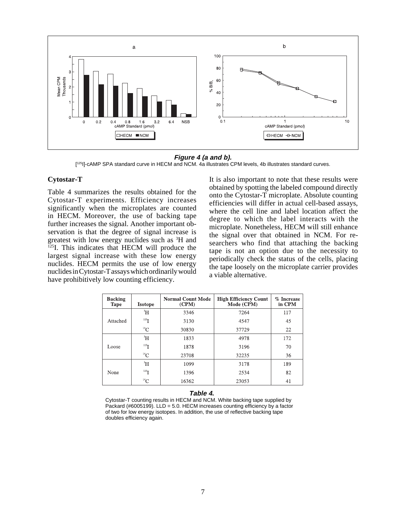

#### **Figure 4 (a and b).**

[<sup>125</sup>I]-cAMP SPA standard curve in HECM and NCM. 4a illustrates CPM levels, 4b illustrates standard curves.

#### **Cytostar-T**

Table 4 summarizes the results obtained for the Cytostar-T experiments. Efficiency increases significantly when the microplates are counted in HECM. Moreover, the use of backing tape further increases the signal. Another important observation is that the degree of signal increase is greatest with low energy nuclides such as <sup>3</sup>H and <sup>125</sup>I. This indicates that HECM will produce the largest signal increase with these low energy nuclides. HECM permits the use of low energy nuclides in Cytostar-T assays which ordinarily would have prohibitively low counting efficiency.

It is also important to note that these results were obtained by spotting the labeled compound directly onto the Cytostar-T microplate. Absolute counting efficiencies will differ in actual cell-based assays, where the cell line and label location affect the degree to which the label interacts with the microplate. Nonetheless, HECM will still enhance the signal over that obtained in NCM. For researchers who find that attaching the backing tape is not an option due to the necessity to periodically check the status of the cells, placing the tape loosely on the microplate carrier provides a viable alternative.

| <b>Backing</b><br><b>Tape</b> | <b>Isotope</b> | <b>Normal Count Mode</b><br>(CPM) | <b>High Efficiency Count</b><br>Mode (CPM) | % Increase<br>in CPM |
|-------------------------------|----------------|-----------------------------------|--------------------------------------------|----------------------|
|                               | $\rm{H}$       | 3346                              | 7264                                       | 117                  |
| Attached                      | $^{125}$ T     | 3130                              | 4547                                       | 45                   |
|                               | $^{14}$ C      | 30830                             | 37729                                      | 22                   |
|                               | $\rm{^3H}$     | 1833                              | 4978                                       | 172                  |
| Loose                         | $^{125}$ T     | 1878                              | 3196                                       | 70                   |
|                               | ${}^{14}C$     | 23708                             | 32235                                      | 36                   |
|                               | $\rm{H}$       | 1099                              | 3178                                       | 189                  |
| None                          | $^{125}$ I     | 1396                              | 2534                                       | 82                   |
|                               | ${}^{14}C$     | 16362                             | 23053                                      | 41                   |

#### **Table 4.**

Cytostar-T counting results in HECM and NCM. White backing tape supplied by Packard (#6005199). LLD = 5.0. HECM increases counting efficiency by a factor of two for low energy isotopes. In addition, the use of reflective backing tape doubles efficiency again.